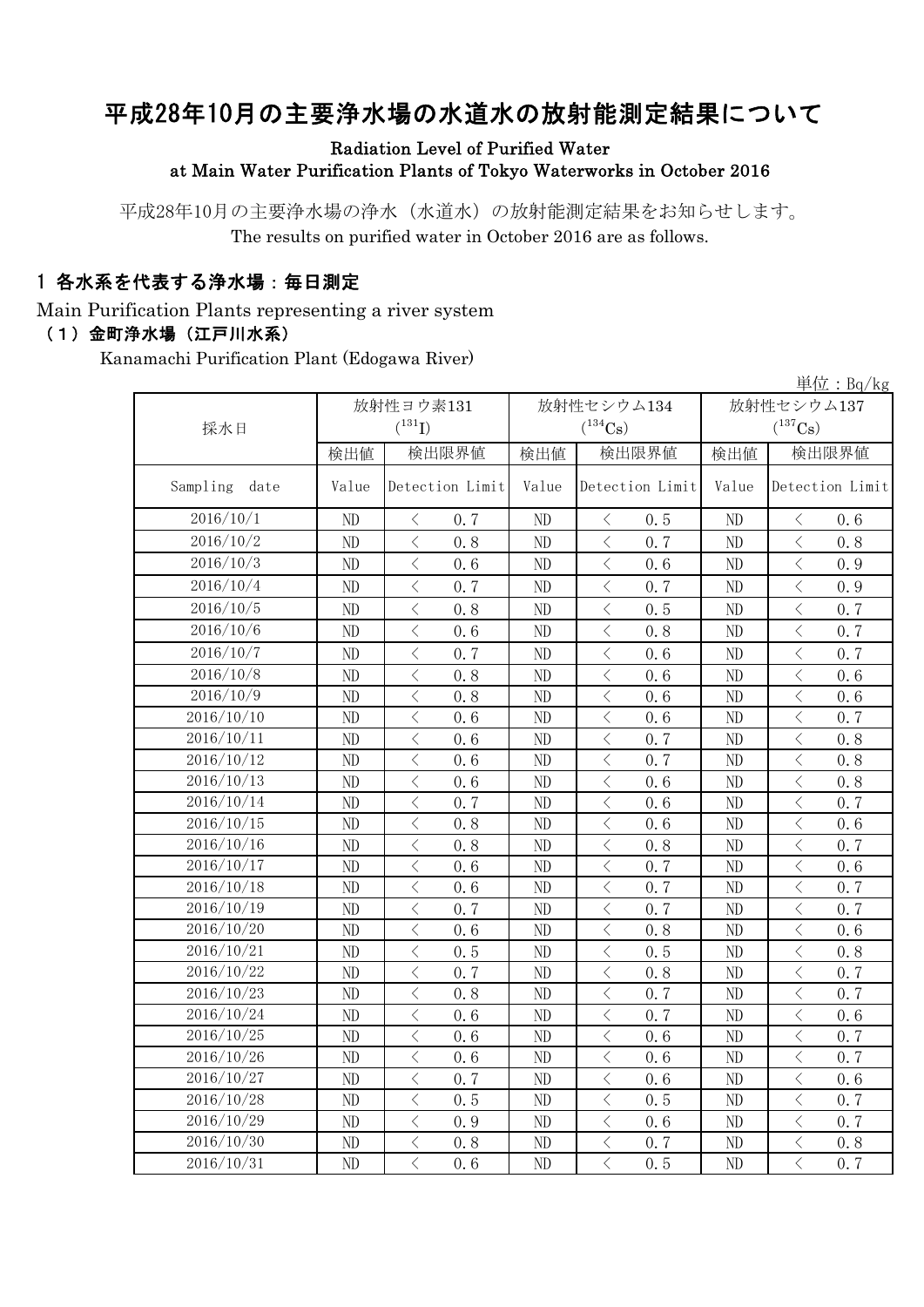# 平成28年10月の主要浄水場の水道水の放射能測定結果について

### Radiation Level of Purified Water at Main Water Purification Plants of Tokyo Waterworks in October 2016

平成28年10月の主要浄水場の浄水(水道水)の放射能測定結果をお知らせします。 The results on purified water in October 2016 are as follows.

### 1 各水系を代表する浄水場:毎日測定

Main Purification Plants representing a river system

### (1)金町浄水場(江戸川水系)

Kanamachi Purification Plant (Edogawa River)

|                  | 単位: $Bq/kg$ |                                                  |                |                                                  |            |                                                  |  |  |  |
|------------------|-------------|--------------------------------------------------|----------------|--------------------------------------------------|------------|--------------------------------------------------|--|--|--|
|                  |             | 放射性ヨウ素131                                        |                | 放射性セシウム134                                       | 放射性セシウム137 |                                                  |  |  |  |
| 採水日              |             | $(^{131}I)$                                      |                | $(^{134}Cs)$                                     |            | $(^{137}Cs)$                                     |  |  |  |
|                  | 検出値         | 検出限界値                                            | 検出値            | 検出限界値                                            | 検出値        | 検出限界値                                            |  |  |  |
| Sampling<br>date | Value       | Detection Limit                                  | Value          | Detection Limit                                  | Value      | Detection Limit                                  |  |  |  |
| 2016/10/1        | ND          | $\langle$<br>0, 7                                | ND             | $\langle$<br>0.5                                 | ND         | 0.6<br>$\langle$                                 |  |  |  |
| 2016/10/2        | ND          | $\langle$<br>0.8                                 | ND             | $\langle$<br>0.7                                 | ND         | $\overline{\left\langle \right\rangle }$<br>0.8  |  |  |  |
| 2016/10/3        | ND          | $\langle$<br>0.6                                 | ND             | $\lt$<br>0.6                                     | ND         | $\overline{\left\langle \right\rangle }$<br>0.9  |  |  |  |
| 2016/10/4        | ND          | $\langle$<br>0.7                                 | ND             | $\lt$<br>0.7                                     | ND         | $\overline{\left\langle \right\rangle }$<br>0.9  |  |  |  |
| 2016/10/5        | ND          | $\overline{\left\langle \right\rangle }$<br>0, 8 | ND             | $\langle$<br>0.5                                 | ND         | $\langle$<br>0.7                                 |  |  |  |
| 2016/10/6        | ND          | $\overline{\left\langle \right\rangle }$<br>0, 6 | ND             | $\langle$<br>0.8                                 | ND         | $\overline{\left\langle \right\rangle }$<br>0.7  |  |  |  |
| 2016/10/7        | ND          | $\overline{\left\langle \right\rangle }$<br>0, 7 | N <sub>D</sub> | $\lt$<br>0, 6                                    | ND         | $\langle$<br>0.7                                 |  |  |  |
| 2016/10/8        | ND          | $\overline{\left\langle \right\rangle }$<br>0, 8 | ND             | $\overline{\left\langle \right\rangle }$<br>0, 6 | ND         | $\overline{\left\langle \right\rangle }$<br>0, 6 |  |  |  |
| 2016/10/9        | ND          | $\overline{\left\langle \right\rangle }$<br>0.8  | ND             | $\overline{\left\langle \right\rangle }$<br>0.6  | ND         | $\overline{\left\langle \right\rangle }$<br>0.6  |  |  |  |
| 2016/10/10       | ND          | $\lt$<br>0.6                                     | ND             | $\lt$<br>0.6                                     | ND         | $\langle$<br>0.7                                 |  |  |  |
| 2016/10/11       | ND          | $\overline{\left\langle \right\rangle }$<br>0.6  | ND             | $\lt$<br>0.7                                     | ND         | $\lt$<br>0.8                                     |  |  |  |
| 2016/10/12       | ND          | $\lt$<br>0.6                                     | ND             | $\,$ $\,$ $\,$<br>0.7                            | ND         | $\langle$<br>0.8                                 |  |  |  |
| 2016/10/13       | ND          | $\lt$<br>0.6                                     | ND             | $\lt$<br>0.6                                     | ND         | $\lt$<br>0.8                                     |  |  |  |
| 2016/10/14       | ND          | $\overline{\left\langle \right\rangle }$<br>0, 7 | ND             | $\langle$<br>0, 6                                | ND         | $\overline{\left\langle \right\rangle }$<br>0.7  |  |  |  |
| 2016/10/15       | ND          | $\overline{\left\langle \right\rangle }$<br>0.8  | ND             | $\langle$<br>0, 6                                | ND         | $\overline{\left\langle \right\rangle }$<br>0, 6 |  |  |  |
| 2016/10/16       | ND          | $\overline{\left\langle \right\rangle }$<br>0, 8 | ND             | $\lt$<br>0, 8                                    | ND         | $\langle$<br>0.7                                 |  |  |  |
| 2016/10/17       | ND          | $\overline{\left\langle \right\rangle }$<br>0, 6 | ND             | $\lt$<br>0.7                                     | ND         | $\overline{\left\langle \right\rangle }$<br>0, 6 |  |  |  |
| 2016/10/18       | ND          | $\overline{\left\langle \right\rangle }$<br>0.6  | ND             | $\overline{\langle}$<br>0.7                      | ND         | $\overline{\left\langle \right\rangle }$<br>0.7  |  |  |  |
| 2016/10/19       | ND          | $\overline{\left\langle \right\rangle }$<br>0.7  | ND             | $\langle$<br>0.7                                 | ND         | $\overline{\left\langle \right\rangle }$<br>0.7  |  |  |  |
| 2016/10/20       | ND          | $\lt$<br>0.6                                     | ND             | $\langle$<br>0.8                                 | ND         | $\lt$<br>0.6                                     |  |  |  |
| 2016/10/21       | ND          | $\langle$<br>0.5                                 | ND             | $\langle$<br>0.5                                 | ND         | $\langle$<br>0.8                                 |  |  |  |
| 2016/10/22       | ND          | $\langle$<br>0.7                                 | ND             | $\,$ $\,$ $\,$<br>0.8                            | ND         | $\,$ $\,$ $\,$<br>0.7                            |  |  |  |
| 2016/10/23       | ND          | $\,$ $\,$ $\,$<br>0.8                            | ND             | $\,$ $\,$ $\,$<br>0.7                            | ND         | $\langle$<br>0.7                                 |  |  |  |
| 2016/10/24       | ND          | $\overline{\left\langle \right\rangle }$<br>0.6  | ND             | $\,$ $\,$ $\,$<br>0.7                            | ND         | $\overline{\left\langle \right\rangle }$<br>0.6  |  |  |  |
| 2016/10/25       | ND          | $\langle$<br>0.6                                 | ND             | $\, < \,$<br>0.6                                 | ND         | $\overline{\left\langle \right\rangle }$<br>0.7  |  |  |  |
| 2016/10/26       | ND          | $\langle$<br>0.6                                 | ND             | $\,$ $\,$ $\,$<br>0.6                            | ND         | $\overline{\left\langle \right\rangle }$<br>0.7  |  |  |  |
| 2016/10/27       | ND          | $\lt$<br>0.7                                     | ND             | $\lt$<br>0.6                                     | ND         | $\lt$<br>0.6                                     |  |  |  |
| 2016/10/28       | ND          | $\langle$<br>0.5                                 | ND             | $\langle$<br>0.5                                 | ND         | $\overline{\left\langle \right\rangle }$<br>0.7  |  |  |  |
| 2016/10/29       | ND          | $\overline{\left\langle \right\rangle }$<br>0.9  | ND             | $\lt$<br>0.6                                     | ND         | $\overline{\left\langle \right\rangle }$<br>0.7  |  |  |  |
| 2016/10/30       | ND          | $\langle$<br>0.8                                 | ND             | $\overline{\left\langle \right\rangle }$<br>0.7  | ND         | $\overline{\left\langle \right\rangle }$<br>0.8  |  |  |  |
| 2016/10/31       | ND          | $\overline{\left\langle \right\rangle }$<br>0.6  | ND             | $\langle$<br>0.5                                 | ND         | $\overline{\left\langle \right\rangle }$<br>0.7  |  |  |  |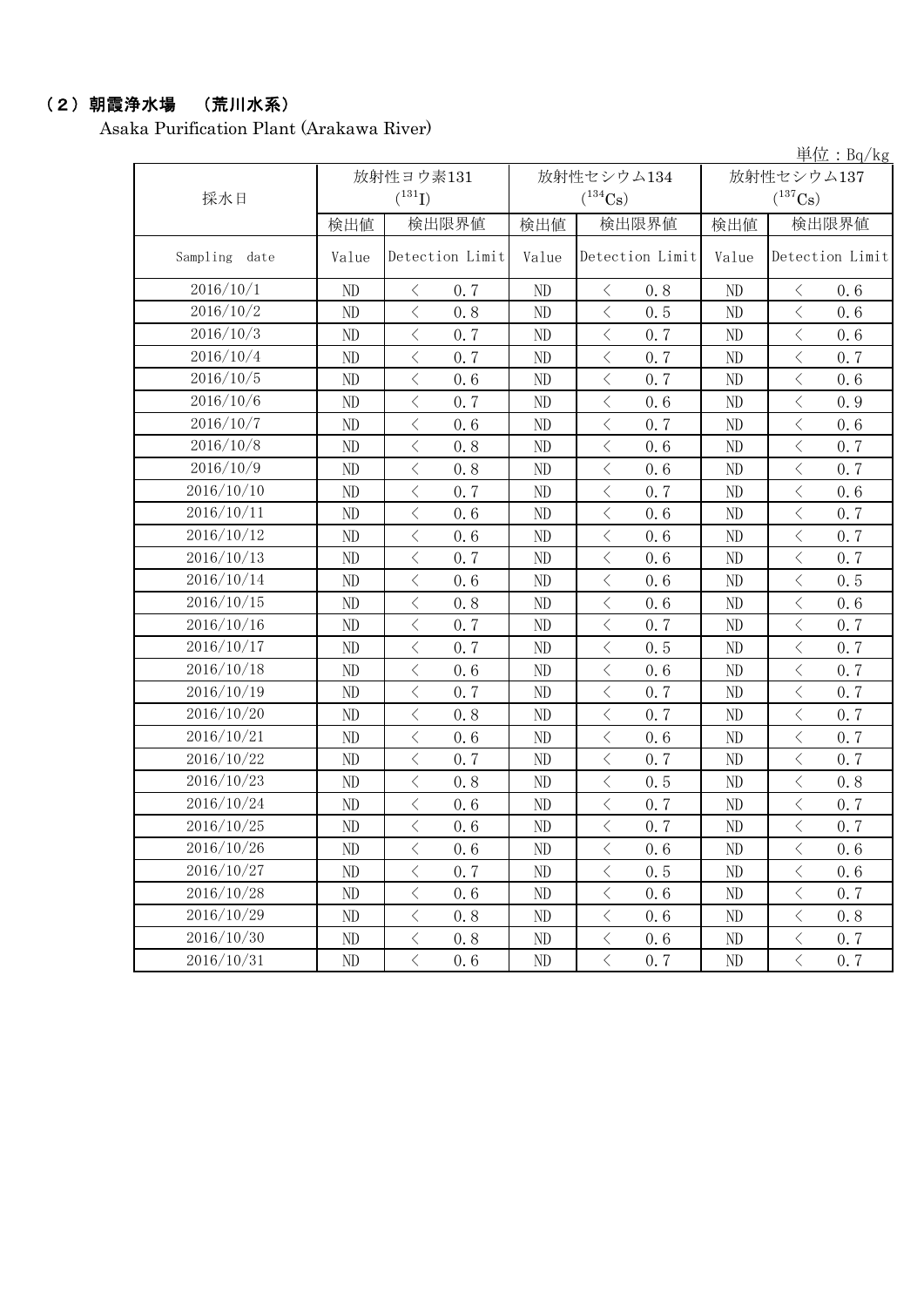## (2)朝霞浄水場 (荒川水系)

Asaka Purification Plant (Arakawa River)

単位:Bq/kg

| 採水日              |       | 放射性ヨウ素131<br>$(^{131}I)$ |          | 放射性セシウム134<br>$(^{134}\mathrm{Cs})$ | 放射性セシウム137<br>$(^{137}\mathrm{Cs})$ |                       |  |
|------------------|-------|--------------------------|----------|-------------------------------------|-------------------------------------|-----------------------|--|
|                  | 検出値   | 検出限界値                    | 検出値      | 検出限界値                               | 検出値                                 | 検出限界値                 |  |
| Sampling<br>date | Value | Detection Limit          | Value    | Detection Limit                     | Value                               | Detection Limit       |  |
| 2016/10/1        | ND    | $\langle$<br>0.7         | $\rm ND$ | $\langle$<br>0.8                    | ND                                  | 0.6<br>$\lt$          |  |
| 2016/10/2        | ND    | $\langle$<br>0.8         | ND       | $\langle$<br>0.5                    | ND                                  | $\langle$<br>0.6      |  |
| 2016/10/3        | ND    | $\langle$<br>0.7         | ND       | $\langle$<br>0.7                    | ND                                  | $\,$ $\,$ $\,$<br>0.6 |  |
| 2016/10/4        | ND    | $\langle$<br>0.7         | ND       | $\langle$<br>0.7                    | ND                                  | $\langle$<br>0.7      |  |
| 2016/10/5        | ND    | $\langle$<br>0.6         | ND       | $\langle$<br>0.7                    | ND                                  | $\langle$<br>0.6      |  |
| 2016/10/6        | ND    | $\langle$<br>0.7         | ND       | $\langle$<br>0.6                    | ND                                  | $\langle$<br>0.9      |  |
| 2016/10/7        | ND    | $\langle$<br>0.6         | ND       | $\langle$<br>0.7                    | ND                                  | $\lt$<br>0.6          |  |
| 2016/10/8        | ND    | $\langle$<br>0.8         | ND       | $\,$ $\,$ $\,$<br>0.6               | ND                                  | $\,$ $\,$ $\,$<br>0.7 |  |
| 2016/10/9        | ND    | $\lt$<br>0.8             | ND       | $\langle$<br>0.6                    | ND                                  | $\langle$<br>0.7      |  |
| 2016/10/10       | ND    | $\langle$<br>0.7         | ND       | $\langle$<br>0.7                    | ND                                  | $\langle$<br>0.6      |  |
| 2016/10/11       | ND    | $\langle$<br>0.6         | ND       | $\langle$<br>0.6                    | ND                                  | $\langle$<br>0.7      |  |
| 2016/10/12       | ND    | $\langle$<br>0.6         | ND       | $\langle$<br>0.6                    | ND                                  | $\lt$<br>0.7          |  |
| 2016/10/13       | ND    | $\langle$<br>0.7         | ND       | $\,$ $\,$ $\,$<br>0.6               | ND                                  | $\,$ $\,$ $\,$<br>0.7 |  |
| 2016/10/14       | ND    | $\lt$<br>0.6             | ND       | $\langle$<br>0.6                    | ND                                  | $\lt$<br>0.5          |  |
| 2016/10/15       | ND    | $\langle$<br>0.8         | ND       | $\langle$<br>0.6                    | ND                                  | $\langle$<br>0.6      |  |
| 2016/10/16       | ND    | $\langle$<br>0.7         | ND       | $\langle$<br>0.7                    | ND                                  | $\langle$<br>0.7      |  |
| 2016/10/17       | ND    | $\langle$<br>0.7         | ND       | $\langle$<br>0.5                    | ND                                  | $\lt$<br>0.7          |  |
| 2016/10/18       | ND    | $\langle$<br>0.6         | ND       | $\langle$<br>0.6                    | ND                                  | $\,$ $\,$ $\,$<br>0.7 |  |
| 2016/10/19       | ND    | $\langle$<br>0.7         | ND       | $\langle$<br>0.7                    | ND                                  | $\langle$<br>0.7      |  |
| 2016/10/20       | ND    | $\langle$<br>0.8         | ND       | $\langle$<br>0.7                    | ND                                  | $\langle$<br>0.7      |  |
| 2016/10/21       | ND    | $\langle$<br>0.6         | ND       | $\langle$<br>0.6                    | ND                                  | $\langle$<br>0.7      |  |
| 2016/10/22       | ND    | $\langle$<br>0.7         | ND       | $\langle$<br>0.7                    | ND                                  | $\lt$<br>0.7          |  |
| 2016/10/23       | ND    | $\langle$<br>0.8         | ND       | $\langle$<br>0.5                    | ND                                  | $\,$ $\,$ $\,$<br>0.8 |  |
| 2016/10/24       | ND    | $\lt$<br>0.6             | ND       | $\lt$<br>0.7                        | ND                                  | $\lt$<br>0.7          |  |
| 2016/10/25       | ND    | $\langle$<br>0.6         | ND       | $\langle$<br>0.7                    | ND                                  | $\langle$<br>0.7      |  |
| 2016/10/26       | ND    | $\langle$<br>0.6         | ND       | $\langle$<br>0.6                    | ND                                  | $\langle$<br>0.6      |  |
| 2016/10/27       | ND    | 0.7<br>$\langle$         | ND       | $\langle$<br>0.5                    | ND                                  | $\langle$<br>0.6      |  |
| 2016/10/28       | ND    | $\, <\,$<br>0.6          | ND       | $\, \zeta \,$<br>0.6                | ND                                  | $\, <\,$<br>0.7       |  |
| 2016/10/29       | ND    | $\langle$<br>0.8         | ND       | $\, \zeta \,$<br>0.6                | ND                                  | $\lt$<br>0.8          |  |
| 2016/10/30       | ND    | $\langle$<br>0.8         | ND       | $\langle$<br>0.6                    | ND                                  | $\leq$<br>0.7         |  |
| 2016/10/31       | ND    | $\langle$<br>0, 6        | ND       | $\, \zeta \,$<br>0.7                | ND                                  | $\langle$<br>0, 7     |  |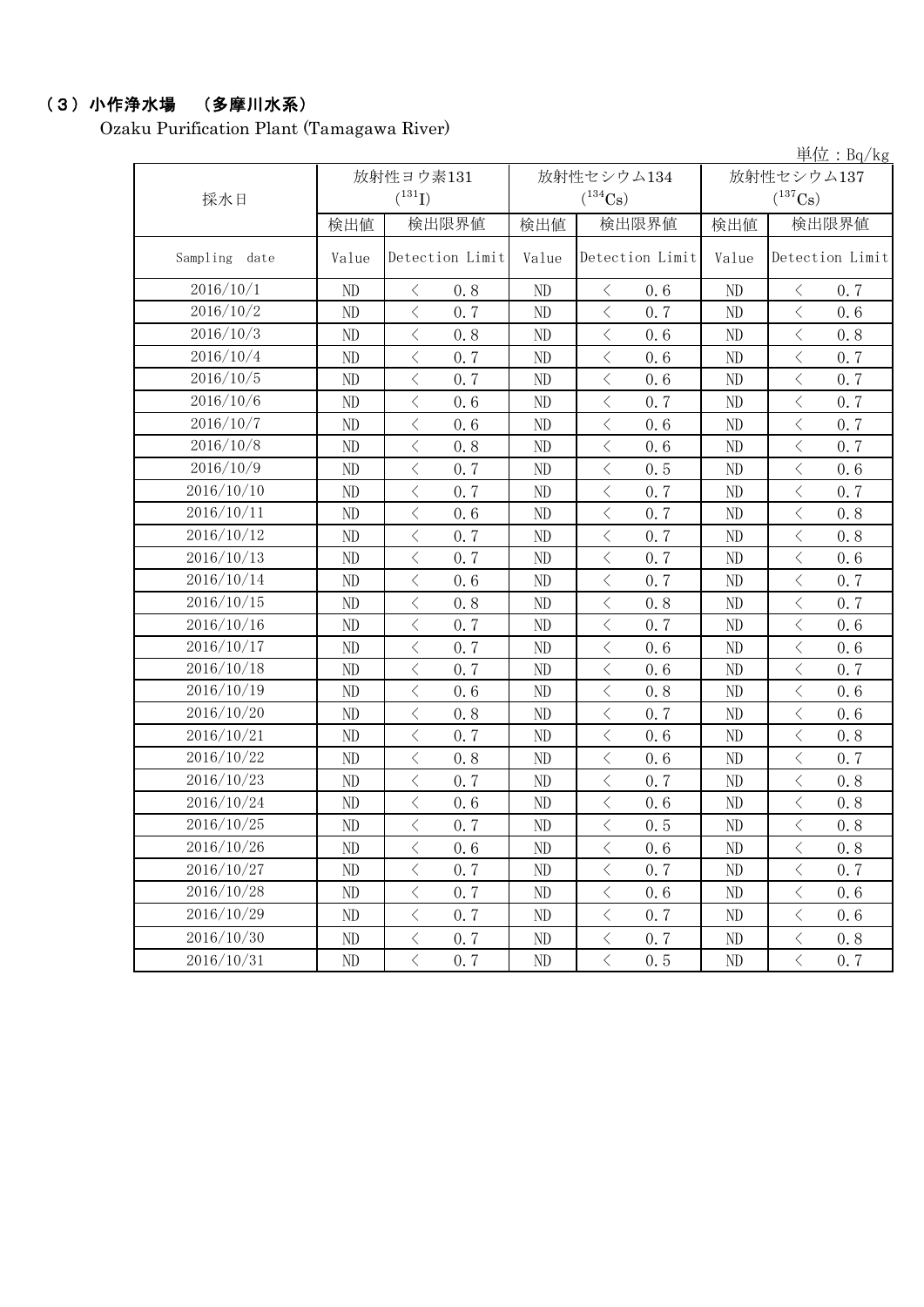## (3)小作浄水場 (多摩川水系)

Ozaku Purification Plant (Tamagawa River)

単位:Bq/kg

| 採水日              |          | 放射性ヨウ素131<br>$(^{131}I)$ |          | 放射性セシウム134<br>$(^{134}Cs)$ | 放射性セシウム137<br>$(^{137}\mathrm{Cs})$ |                                                 |  |
|------------------|----------|--------------------------|----------|----------------------------|-------------------------------------|-------------------------------------------------|--|
|                  | 検出値      | 検出限界値                    | 検出値      | 検出限界値                      | 検出値                                 | 検出限界値                                           |  |
| Sampling<br>date | Value    | Detection Limit          | Value    | Detection Limit            | Value                               | Detection Limit                                 |  |
| 2016/10/1        | ND       | $\langle$<br>0.8         | ND       | $\langle$<br>0.6           | ND                                  | 0.7<br>$\langle$                                |  |
| 2016/10/2        | ND       | $\langle$<br>0, 7        | ND       | $\langle$<br>0.7           | ND                                  | $\lt$<br>0.6                                    |  |
| 2016/10/3        | ND       | $\langle$<br>0.8         | ND       | $\langle$<br>0.6           | ND                                  | $\langle$<br>0.8                                |  |
| 2016/10/4        | ND       | $\, <\,$<br>0.7          | ND       | $\, \zeta \,$<br>0.6       | ND                                  | $\langle$<br>0.7                                |  |
| 2016/10/5        | ND       | $\langle$<br>0.7         | $\rm ND$ | $\langle$<br>0.6           | ND                                  | $\lt$<br>0.7                                    |  |
| 2016/10/6        | ND       | $\langle$<br>0.6         | ND       | $\langle$<br>0.7           | ND                                  | $\langle$<br>0.7                                |  |
| 2016/10/7        | ND       | $\langle$<br>0.6         | ND       | $\langle$<br>0.6           | ND                                  | $\lt$<br>0.7                                    |  |
| 2016/10/8        | ND       | $\langle$<br>0.8         | ND       | $\,$ $\,$ $\,$<br>0.6      | ND                                  | $\langle$<br>0.7                                |  |
| 2016/10/9        | ND       | $\, <\,$<br>0.7          | ND       | $\, \big\langle \,$<br>0.5 | ND                                  | $\langle$<br>0.6                                |  |
| 2016/10/10       | ND       | $\langle$<br>0.7         | ND       | $\langle$<br>0.7           | ND                                  | $\langle$<br>0.7                                |  |
| 2016/10/11       | ND       | $\langle$<br>0.6         | ND       | $\langle$<br>0.7           | ND                                  | $\,$ $\,$ $\,$<br>0.8                           |  |
| 2016/10/12       | ND       | $\langle$<br>0.7         | ND       | $\langle$<br>0.7           | ND                                  | $\lt$<br>0.8                                    |  |
| 2016/10/13       | ND       | $\langle$<br>0.7         | $\rm ND$ | $\,$ $\,$ $\,$<br>0.7      | $\rm ND$                            | $\overline{\left\langle \right\rangle }$<br>0.6 |  |
| 2016/10/14       | ND       | $\big\langle$<br>0.6     | ND       | $\langle$<br>0.7           | ND                                  | $\langle$<br>0.7                                |  |
| 2016/10/15       | ND       | $\langle$<br>0.8         | $\rm ND$ | $\langle$<br>0.8           | ND                                  | $\lt$<br>0.7                                    |  |
| 2016/10/16       | ND       | $\langle$<br>0.7         | $\rm ND$ | $\langle$<br>0.7           | ND                                  | $\langle$<br>0.6                                |  |
| 2016/10/17       | ND       | $\langle$<br>0.7         | ND       | $\, <\,$<br>0.6            | ND                                  | $\lt$<br>0.6                                    |  |
| 2016/10/18       | ND       | $\lt$<br>0.7             | ND       | $\,$ $\,$ $\,$<br>0.6      | ND                                  | $\overline{\left\langle \right\rangle }$<br>0.7 |  |
| 2016/10/19       | ND       | $\langle$<br>0.6         | ND       | $\, \zeta \,$<br>0.8       | ND                                  | $\langle$<br>0.6                                |  |
| 2016/10/20       | ND       | $\langle$<br>0.8         | ND       | $\langle$<br>0.7           | ND                                  | $\lt$<br>0.6                                    |  |
| 2016/10/21       | ND       | $\langle$<br>0.7         | ND       | $\,$ $\,$ $\,$<br>0.6      | ND                                  | $\,$ $\,$ $\,$<br>0.8                           |  |
| 2016/10/22       | ND       | $\lt$<br>0.8             | ND       | $\, <\,$<br>0.6            | ND                                  | $\lt$<br>0.7                                    |  |
| 2016/10/23       | ND       | $\langle$<br>0.7         | ND       | $\langle$<br>0.7           | ND                                  | $\langle$<br>0.8                                |  |
| 2016/10/24       | ND       | $\langle$<br>0.6         | ND       | $\langle$<br>0.6           | ND                                  | $\langle$<br>0.8                                |  |
| 2016/10/25       | ND       | $\langle$<br>0.7         | ND       | $\langle$<br>0.5           | ND                                  | $\, <\,$<br>0, 8                                |  |
| 2016/10/26       | ND       | $\langle$<br>0.6         | ND       | $\,$ $\,$ $\,$<br>0.6      | ND                                  | $\lt$<br>0.8                                    |  |
| 2016/10/27       | ND       | $\langle$<br>0.7         | ND       | $\langle$<br>0.7           | ND                                  | 0.7<br>$\lt$                                    |  |
| 2016/10/28       | $\rm ND$ | $\langle$<br>0.7         | ND       | $\langle$<br>0.6           | ND                                  | $\langle$<br>0.6                                |  |
| 2016/10/29       | ND       | $\, <\,$<br>0.7          | ND       | $\langle$<br>0.7           | ND                                  | $\langle$<br>0.6                                |  |
| 2016/10/30       | ND       | $\, <\,$<br>0, 7         | ND       | $\, \zeta \,$<br>0.7       | ND                                  | $\langle$<br>0.8                                |  |
| 2016/10/31       | ND       | $\langle$<br>0.7         | ND       | $\, \zeta \,$<br>0.5       | ND                                  | $\langle$<br>0.7                                |  |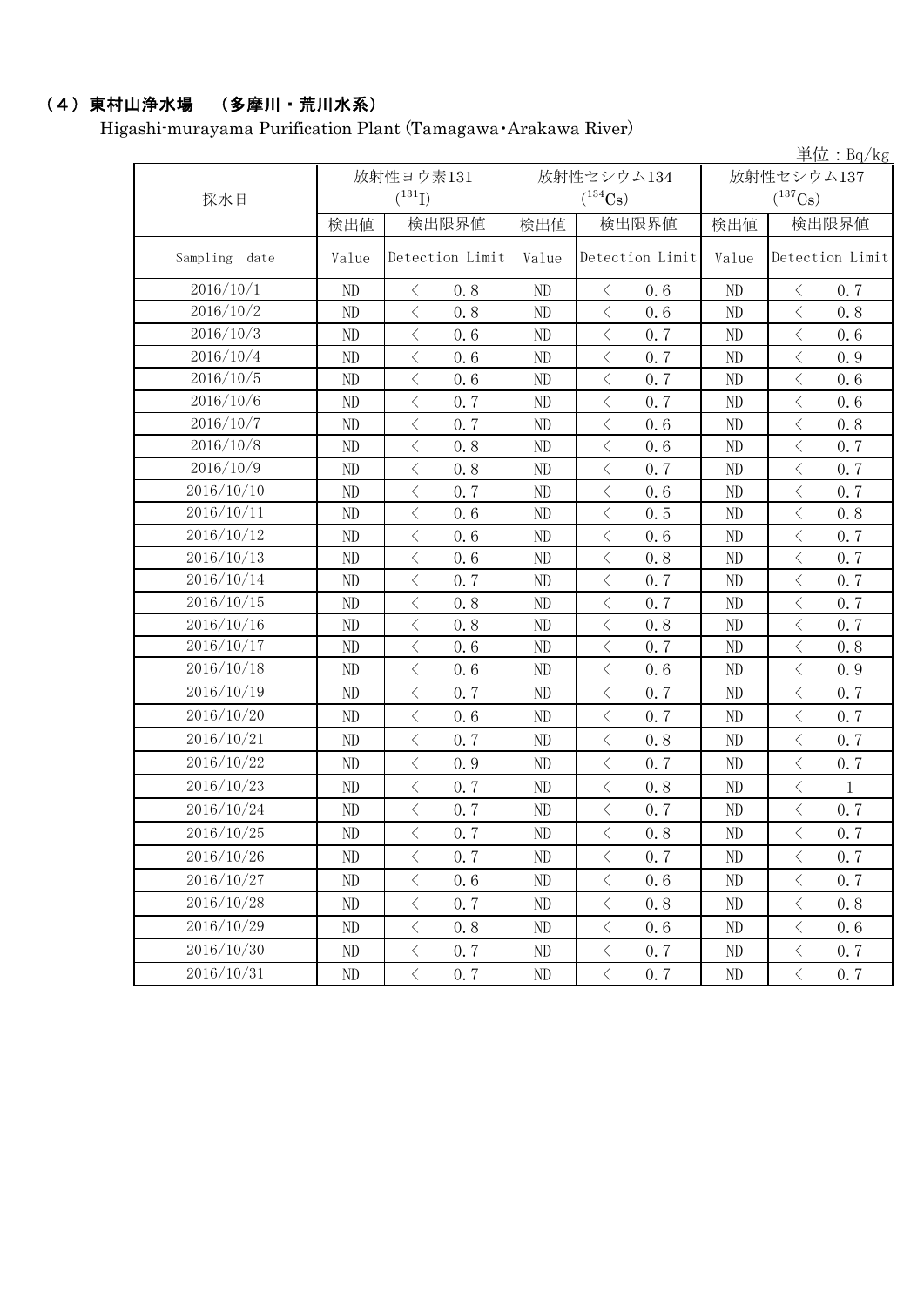## (4)東村山浄水場 (多摩川・荒川水系)

Higashi-murayama Purification Plant (Tamagawa・Arakawa River)

|                  |          |                                                 | 単位: $Bq/kg$ |                                    |            |                                                 |  |  |
|------------------|----------|-------------------------------------------------|-------------|------------------------------------|------------|-------------------------------------------------|--|--|
|                  |          | 放射性ヨウ素131                                       |             | 放射性セシウム134                         | 放射性セシウム137 |                                                 |  |  |
| 採水日              |          | $(^{131}I)$                                     |             | $(^{134}Cs)$                       |            | $(^{137}\mathrm{Cs})$                           |  |  |
|                  | 検出値      | 検出限界値                                           | 検出値         | 検出限界値                              | 検出値        | 検出限界値                                           |  |  |
| Sampling<br>date | Value    | Detection Limit                                 | Value       | Detection Limit                    | Value      | Detection Limit                                 |  |  |
| 2016/10/1        | ND       | $\langle$<br>0.8                                | ND          | $\big\langle$<br>0.6               | ND         | $\, \big\langle \,$<br>0.7                      |  |  |
| 2016/10/2        | ND       | $\langle$<br>0.8                                | $\rm ND$    | $\langle$<br>0.6                   | ND         | $\overline{\left\langle \right\rangle }$<br>0.8 |  |  |
| 2016/10/3        | ND       | $\lt$<br>0.6                                    | ND          | $\, \big\langle \,$<br>0.7         | ND         | $\lt$<br>0.6                                    |  |  |
| 2016/10/4        | ND       | $\langle$<br>0.6                                | ND          | $\langle$<br>0.7                   | ND         | $\lt$<br>0.9                                    |  |  |
| 2016/10/5        | ND       | $\overline{\left\langle \right\rangle }$<br>0.6 | ND          | $\langle$<br>0.7                   | ND         | $\overline{\left\langle \right\rangle }$<br>0.6 |  |  |
| 2016/10/6        | ND       | $\langle$<br>0.7                                | ND          | $\, \leq$<br>0.7                   | ND         | 0.6                                             |  |  |
| 2016/10/7        | ND       | $\langle$<br>0.7                                | ND          | $\langle$<br>0.6                   | ND         | $\overline{\left\langle \right\rangle }$<br>0.8 |  |  |
| 2016/10/8        | ND       | $\, <\,$<br>0.8                                 | $\rm ND$    | $\, <\,$<br>0.6                    | ND         | $\langle$<br>0.7                                |  |  |
| 2016/10/9        | ND       | $\langle$<br>0.8                                | ND          | $\langle$<br>0.7                   | ND         | $\langle$<br>0.7                                |  |  |
| 2016/10/10       | ND       | $\langle$<br>0.7                                | ND          | $\langle$<br>0.6                   | ND         | $\langle$<br>0.7                                |  |  |
| 2016/10/11       | ND       | $\langle$<br>0.6                                | ND          | $\langle$<br>0.5                   | ND         | $\lt$<br>0.8                                    |  |  |
| 2016/10/12       | ND       | $\langle$<br>0.6                                | ND          | $\langle$<br>0.6                   | ND         | $\overline{\left\langle \right\rangle }$<br>0.7 |  |  |
| 2016/10/13       | ND       | $\, <\,$<br>0.6                                 | ND          | $\, \big\langle \,$<br>0.8         | ND         | $\langle$<br>0.7                                |  |  |
| 2016/10/14       | ND       | $\langle$<br>0.7                                | $\rm ND$    | $\langle$<br>0.7                   | ND         | $\langle$<br>0.7                                |  |  |
| 2016/10/15       | ND       | $\langle$<br>0.8                                | ND          | $\langle$<br>0.7                   | ND         | $\lt$<br>0.7                                    |  |  |
| 2016/10/16       | ND       | $\langle$<br>0.8                                | ND          | $\langle$<br>0.8                   | ND         | $\,$ $\,$ $\,$<br>0.7                           |  |  |
| 2016/10/17       | ND       | $\langle$<br>0.6                                | $\rm ND$    | 0.7<br>$\langle$                   | ND         | $\langle$<br>0.8                                |  |  |
| 2016/10/18       | ND       | $\hspace{0.1mm}\big\langle$<br>0.6              | ND          | $\, \big\langle \,$<br>0.6         | ND         | $\langle$<br>0.9                                |  |  |
| 2016/10/19       | ND       | $\langle$<br>0.7                                | ND          | $\langle$<br>0.7                   | ND         | $\langle$<br>0.7                                |  |  |
| 2016/10/20       | ND       | $\langle$<br>0.6                                | ND          | $\langle$<br>0.7                   | ND         | $\, \big\langle \,$<br>0.7                      |  |  |
| 2016/10/21       | ND       | $\langle$<br>0.7                                | ND          | $\langle$<br>0.8                   | ND         | $\langle$<br>0.7                                |  |  |
| 2016/10/22       | ND       | $\langle$<br>0.9                                | ND          | $\langle$<br>0.7                   | ND         | $\, <\,$<br>0.7                                 |  |  |
| 2016/10/23       | ND       | $\langle$<br>0.7                                | $\rm ND$    | $\langle$<br>0.8                   | ND         | $\langle$<br>$\mathbf{1}$                       |  |  |
| 2016/10/24       | ND       | $\, \big\langle \,$<br>0.7                      | ND          | $\hspace{0.1mm}\big\langle$<br>0.7 | ND         | $\, <\,$<br>0.7                                 |  |  |
| 2016/10/25       | $\rm ND$ | $\langle$<br>0.7                                | $\rm ND$    | $\langle$<br>$0.8\,$               | $\rm ND$   | 0.7<br>$\langle$                                |  |  |
| 2016/10/26       | ND       | $\langle$<br>0.7                                | ND          | $\langle$<br>0.7                   | ND         | 0.7<br>$\langle$                                |  |  |
| 2016/10/27       | ND       | $\langle$<br>0.6                                | ND          | $\langle$<br>0.6                   | ND         | $\, <\,$<br>0.7                                 |  |  |
| 2016/10/28       | ND       | $\langle$<br>0.7                                | ND          | $\big\langle$<br>0.8               | ND         | $\langle$<br>0.8                                |  |  |
| 2016/10/29       | ND       | $\langle$<br>0.8                                | ND          | $\langle$<br>0.6                   | ND         | $\langle$<br>0.6                                |  |  |
| 2016/10/30       | ND       | $\langle$<br>0.7                                | ND          | $\langle$<br>0.7                   | ND         | $\langle$<br>0.7                                |  |  |
| 2016/10/31       | ND       | $\langle$<br>0, 7                               | ND          | $\langle$<br>0.7                   | ND         | $\langle$<br>0.7                                |  |  |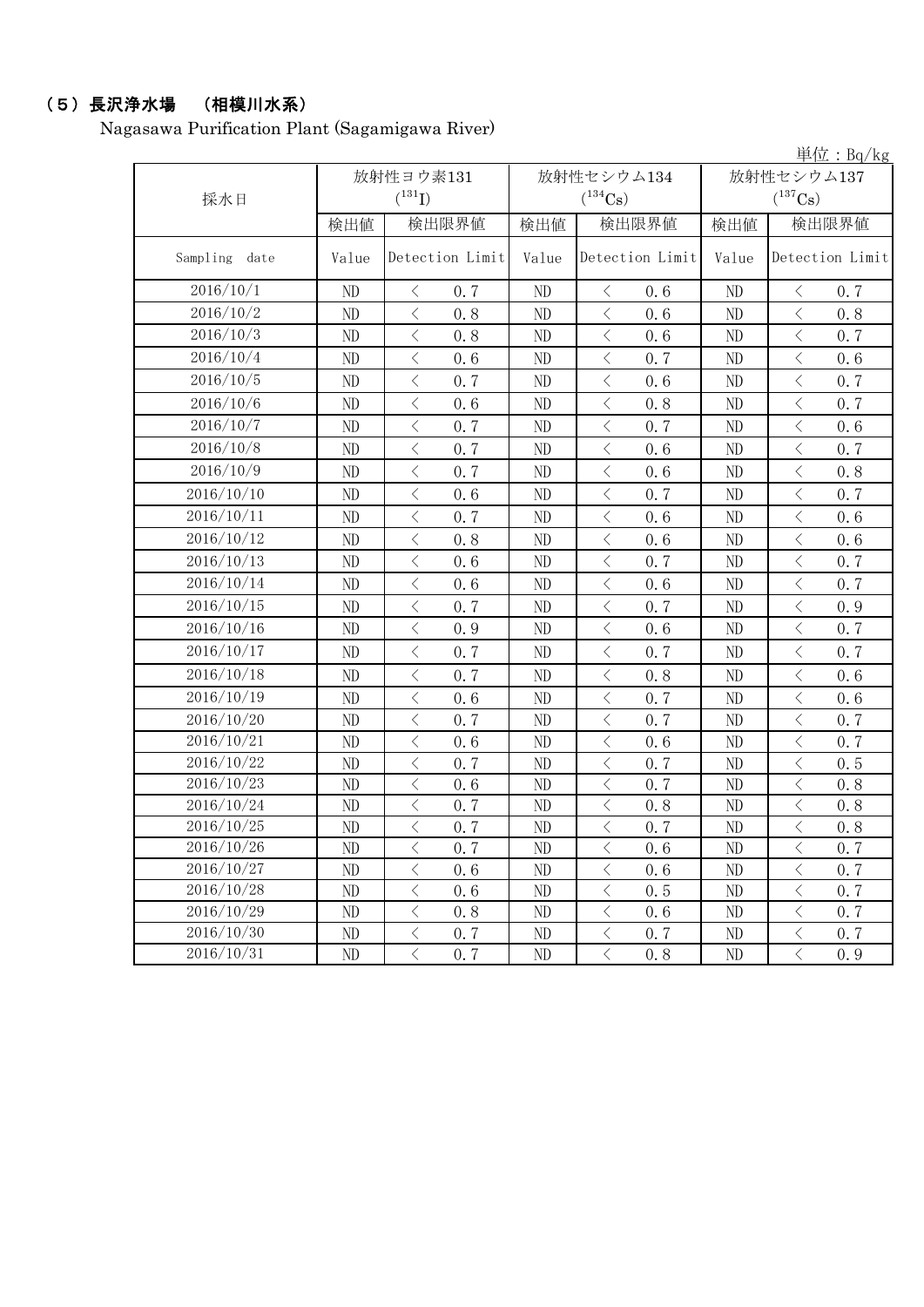## (5)長沢浄水場 (相模川水系)

Nagasawa Purification Plant (Sagamigawa River)

単位:Bq/kg

|               |       | 放射性ヨウ素131                                       |       | 放射性セシウム134                                      | 放射性セシウム137 |                                    |  |
|---------------|-------|-------------------------------------------------|-------|-------------------------------------------------|------------|------------------------------------|--|
| 採水日           |       | $(^{131}I)$                                     |       | $(^{134}Cs)$                                    |            | $(^{137}Cs)$                       |  |
|               | 検出値   | 検出限界値                                           | 検出値   | 検出限界値                                           | 検出値        | 検出限界値                              |  |
| Sampling date | Value | Detection Limit                                 | Value | Detection Limit                                 | Value      | Detection Limit                    |  |
| 2016/10/1     | ND    | $\langle$<br>0.7                                | ND    | $\langle$<br>0.6                                | ND         | $\hspace{0.1mm}\big\langle$<br>0.7 |  |
| 2016/10/2     | ND    | $\lt$<br>0, 8                                   | ND    | $\langle$<br>0.6                                | ND         | $\lt$<br>0.8                       |  |
| 2016/10/3     | ND    | $\lt$<br>0.8                                    | ND    | $\,$ $\,$ $\,$<br>0.6                           | ND         | $\langle$<br>0.7                   |  |
| 2016/10/4     | ND    | $\lt$<br>0.6                                    | ND    | $\, < \,$<br>0.7                                | ND         | $\lt$<br>0.6                       |  |
| 2016/10/5     | ND    | $\langle$<br>0.7                                | ND    | $\langle$<br>0.6                                | ND         | $\langle$<br>0.7                   |  |
| 2016/10/6     | ND    | $\langle$<br>0.6                                | ND    | $\,$ $\,$ $\,$<br>0.8                           | $\rm ND$   | $\,$ $\,$ $\,$<br>0.7              |  |
| 2016/10/7     | ND    | $\overline{\left\langle \right\rangle }$<br>0.7 | ND    | $\langle$<br>0.7                                | ND         | $\lt$<br>0.6                       |  |
| 2016/10/8     | ND    | $\overline{\left\langle \right\rangle }$<br>0.7 | ND    | $\langle$<br>0.6                                | ND         | $\langle$<br>0.7                   |  |
| 2016/10/9     | ND    | $\lt$<br>0.7                                    | ND    | $\,$ $\,$ $\,$<br>0.6                           | ND         | $\,$ $\,$ $\,$<br>0.8              |  |
| 2016/10/10    | ND    | $\langle$<br>0.6                                | ND    | $\langle$<br>0.7                                | ND         | $\langle$<br>0.7                   |  |
| 2016/10/11    | ND    | $\overline{\langle}$<br>0, 7                    | ND    | $\overline{\left\langle \right\rangle }$<br>0.6 | ND         | $\langle$<br>0.6                   |  |
| 2016/10/12    | ND    | $\lt$<br>0.8                                    | ND    | $\langle$<br>0.6                                | ND         | $\langle$<br>0.6                   |  |
| 2016/10/13    | ND    | $\lt$<br>0.6                                    | ND    | $\,$ $\,$ $\,$<br>0, 7                          | ND         | $\lt$<br>0.7                       |  |
| 2016/10/14    | ND    | $\lt$<br>0.6                                    | ND    | $\,$ $\,$ $\,$<br>0, 6                          | ND         | $\,$ $\,$ $\,$<br>0.7              |  |
| 2016/10/15    | ND    | $\langle$<br>0.7                                | ND    | $\langle$<br>0.7                                | $\rm ND$   | $\langle$<br>0.9                   |  |
| 2016/10/16    | ND    | $\langle$<br>0.9                                | ND    | $\langle$<br>0.6                                | $\rm ND$   | 0.7<br>$\langle$                   |  |
| 2016/10/17    | ND    | $\langle$<br>0.7                                | ND    | $\langle$<br>0.7                                | ND         | $\langle$<br>0.7                   |  |
| 2016/10/18    | ND    | $\langle$<br>0.7                                | ND    | $\, <\,$<br>0.8                                 | ND         | $\lt$<br>0.6                       |  |
| 2016/10/19    | ND    | $\langle$<br>0.6                                | ND    | $\,$ $\,$ $\,$<br>0.7                           | ND         | $\,$ $\,$ $\,$<br>0.6              |  |
| 2016/10/20    | ND    | $\overline{\left\langle \right\rangle }$<br>0.7 | ND    | $\langle$<br>0.7                                | ND         | $\langle$<br>0.7                   |  |
| 2016/10/21    | ND    | $\langle$<br>0.6                                | ND    | $\overline{\left\langle \right\rangle }$<br>0.6 | ND         | $\lt$<br>0.7                       |  |
| 2016/10/22    | ND    | $\,$ $\,$ $\,$<br>0.7                           | ND    | $\langle$<br>0.7                                | ND         | $\,<\,$<br>0.5                     |  |
| 2016/10/23    | ND    | $\, < \,$<br>0.6                                | ND    | $\,$ $\,$ $\,$<br>0.7                           | ND         | $\,<\,$<br>0.8                     |  |
| 2016/10/24    | ND    | $\lt$<br>0.7                                    | ND    | $\,$ $\,$ $\,$<br>0.8                           | ND         | $\langle$<br>0.8                   |  |
| 2016/10/25    | ND    | $\overline{\left\langle \right\rangle }$<br>0.7 | ND    | $\, < \,$<br>0.7                                | ND         | $\,$ $\,$ $\,$<br>0.8              |  |
| 2016/10/26    | ND    | $\langle$<br>0.7                                | ND    | $\,$ $\,$ $\,$<br>0.6                           | ND         | $\lt$<br>0.7                       |  |
| 2016/10/27    | ND    | $\overline{\left\langle \right\rangle }$<br>0.6 | ND    | $\lt$<br>0.6                                    | ND         | $\lt$<br>0.7                       |  |
| 2016/10/28    | ND    | $\overline{\left\langle \right\rangle }$<br>0.6 | ND    | $\langle$<br>0.5                                | ND         | $\lt$<br>0.7                       |  |
| 2016/10/29    | ND    | $\overline{\left\langle \right\rangle }$<br>0.8 | ND    | $\lt$<br>0.6                                    | ND         | $\langle$<br>0.7                   |  |
| 2016/10/30    | ND    | $\lt$<br>0.7                                    | ND    | $\lt$<br>0.7                                    | $\rm ND$   | $\lt$<br>$0.7\,$                   |  |
| 2016/10/31    | ND    | $\overline{\left\langle \right\rangle }$<br>0.7 | ND    | $\,$ $\,$ $\,$<br>0.8                           | ND         | $\lt$<br>0.9                       |  |